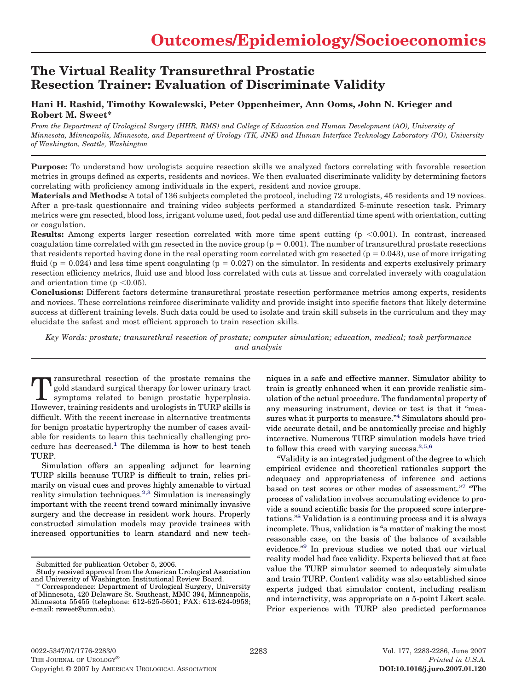# **The Virtual Reality Transurethral Prostatic Resection Trainer: Evaluation of Discriminate Validity**

## **Hani H. Rashid, Timothy Kowalewski, Peter Oppenheimer, Ann Ooms, John N. Krieger and Robert M. Sweet\***

*From the Department of Urological Surgery (HHR, RMS) and College of Education and Human Development (AO), University of Minnesota, Minneapolis, Minnesota, and Department of Urology (TK, JNK) and Human Interface Technology Laboratory (PO), University of Washington, Seattle, Washington*

**Purpose:** To understand how urologists acquire resection skills we analyzed factors correlating with favorable resection metrics in groups defined as experts, residents and novices. We then evaluated discriminate validity by determining factors correlating with proficiency among individuals in the expert, resident and novice groups.

**Materials and Methods:** A total of 136 subjects completed the protocol, including 72 urologists, 45 residents and 19 novices. After a pre-task questionnaire and training video subjects performed a standardized 5-minute resection task. Primary metrics were gm resected, blood loss, irrigant volume used, foot pedal use and differential time spent with orientation, cutting or coagulation.

**Results:** Among experts larger resection correlated with more time spent cutting  $(p \lt 0.001)$ . In contrast, increased  $\alpha$  coagulation time correlated with gm resected in the novice group ( $p = 0.001$ ). The number of transurethral prostate resections that residents reported having done in the real operating room correlated with gm resected ( $p = 0.043$ ), use of more irrigating fluid ( $p = 0.024$ ) and less time spent coagulating ( $p = 0.027$ ) on the simulator. In residents and experts exclusively primary resection efficiency metrics, fluid use and blood loss correlated with cuts at tissue and correlated inversely with coagulation and orientation time ( $p < 0.05$ ).

**Conclusions:** Different factors determine transurethral prostate resection performance metrics among experts, residents and novices. These correlations reinforce discriminate validity and provide insight into specific factors that likely determine success at different training levels. Such data could be used to isolate and train skill subsets in the curriculum and they may elucidate the safest and most efficient approach to train resection skills.

*Key Words: prostate; transurethral resection of prostate; computer simulation; education, medical; task performance and analysis*

Transurethral resection of the prostate remains the<br>gold standard surgical therapy for lower urinary tract<br>symptoms related to benign prostatic hyperplasia.<br>However training projects on undergists in TUDP chills in gold standard surgical therapy for lower urinary tract However, training residents and urologists in TURP skills is difficult. With the recent increase in alternative treatments for benign prostatic hypertrophy the number of cases available for residents to learn this technically challenging procedure has decreased.<sup>1</sup> The dilemma is how to best teach TURP.

Simulation offers an appealing adjunct for learning TURP skills because TURP is difficult to train, relies primarily on visual cues and proves highly amenable to virtual reality simulation techniques.<sup>2,3</sup> Simulation is increasingly important with the recent trend toward minimally invasive surgery and the decrease in resident work hours. Properly constructed simulation models may provide trainees with increased opportunities to learn standard and new techniques in a safe and effective manner. Simulator ability to train is greatly enhanced when it can provide realistic simulation of the actual procedure. The fundamental property of any measuring instrument, device or test is that it "measures what it purports to measure."<sup>4</sup> Simulators should provide accurate detail, and be anatomically precise and highly interactive. Numerous TURP simulation models have tried to follow this creed with varying success.  $3,5,6$ 

"Validity is an integrated judgment of the degree to which empirical evidence and theoretical rationales support the adequacy and appropriateness of inference and actions based on test scores or other modes of assessment.["7](#page-3-0) "The process of validation involves accumulating evidence to provide a sound scientific basis for the proposed score interpretations.["8](#page-3-0) Validation is a continuing process and it is always incomplete. Thus, validation is "a matter of making the most reasonable case, on the basis of the balance of available evidence.["9](#page-3-0) In previous studies we noted that our virtual reality model had face validity. Experts believed that at face value the TURP simulator seemed to adequately simulate and train TURP. Content validity was also established since experts judged that simulator content, including realism and interactivity, was appropriate on a 5-point Likert scale. Prior experience with TURP also predicted performance

Submitted for publication October 5, 2006.

Study received approval from the American Urological Association and University of Washington Institutional Review Board.

<sup>\*</sup> Correspondence: Department of Urological Surgery, University of Minnesota, 420 Delaware St. Southeast, MMC 394, Minneapolis, Minnesota 55455 (telephone: 612-625-5601; FAX: 612-624-0958; e-mail: rsweet@umn.edu).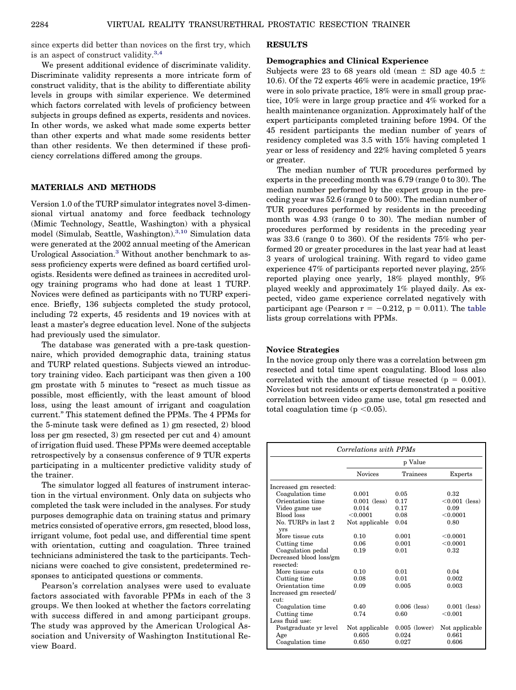since experts did better than novices on the first try, which is an aspect of construct validity[.3,4](#page-3-0)

We present additional evidence of discriminate validity. Discriminate validity represents a more intricate form of construct validity, that is the ability to differentiate ability levels in groups with similar experience. We determined which factors correlated with levels of proficiency between subjects in groups defined as experts, residents and novices. In other words, we asked what made some experts better than other experts and what made some residents better than other residents. We then determined if these proficiency correlations differed among the groups.

## **MATERIALS AND METHODS**

Version 1.0 of the TURP simulator integrates novel 3-dimensional virtual anatomy and force feedback technology (Mimic Technology, Seattle, Washington) with a physical model (Simulab, Seattle, Washington)[.3,10](#page-3-0) Simulation data were generated at the 2002 annual meeting of the American Urological Association[.3](#page-3-0) Without another benchmark to assess proficiency experts were defined as board certified urologists. Residents were defined as trainees in accredited urology training programs who had done at least 1 TURP. Novices were defined as participants with no TURP experience. Briefly, 136 subjects completed the study protocol, including 72 experts, 45 residents and 19 novices with at least a master's degree education level. None of the subjects had previously used the simulator.

The database was generated with a pre-task questionnaire, which provided demographic data, training status and TURP related questions. Subjects viewed an introductory training video. Each participant was then given a 100 gm prostate with 5 minutes to "resect as much tissue as possible, most efficiently, with the least amount of blood loss, using the least amount of irrigant and coagulation current." This statement defined the PPMs. The 4 PPMs for the 5-minute task were defined as 1) gm resected, 2) blood loss per gm resected, 3) gm resected per cut and 4) amount of irrigation fluid used. These PPMs were deemed acceptable retrospectively by a consensus conference of 9 TUR experts participating in a multicenter predictive validity study of the trainer.

The simulator logged all features of instrument interaction in the virtual environment. Only data on subjects who completed the task were included in the analyses. For study purposes demographic data on training status and primary metrics consisted of operative errors, gm resected, blood loss, irrigant volume, foot pedal use, and differential time spent with orientation, cutting and coagulation. Three trained technicians administered the task to the participants. Technicians were coached to give consistent, predetermined responses to anticipated questions or comments.

Pearson's correlation analyses were used to evaluate factors associated with favorable PPMs in each of the 3 groups. We then looked at whether the factors correlating with success differed in and among participant groups. The study was approved by the American Urological Association and University of Washington Institutional Review Board.

## **RESULTS**

#### **Demographics and Clinical Experience**

Subjects were 23 to 68 years old (mean  $\pm$  SD age 40.5  $\pm$ 10.6). Of the 72 experts 46% were in academic practice, 19% were in solo private practice, 18% were in small group practice, 10% were in large group practice and 4% worked for a health maintenance organization. Approximately half of the expert participants completed training before 1994. Of the 45 resident participants the median number of years of residency completed was 3.5 with 15% having completed 1 year or less of residency and 22% having completed 5 years or greater.

The median number of TUR procedures performed by experts in the preceding month was 6.79 (range 0 to 30). The median number performed by the expert group in the preceding year was 52.6 (range 0 to 500). The median number of TUR procedures performed by residents in the preceding month was 4.93 (range 0 to 30). The median number of procedures performed by residents in the preceding year was 33.6 (range 0 to 360). Of the residents 75% who performed 20 or greater procedures in the last year had at least 3 years of urological training. With regard to video game experience 47% of participants reported never playing, 25% reported playing once yearly, 18% played monthly, 9% played weekly and approximately 1% played daily. As expected, video game experience correlated negatively with participant age (Pearson  $r = -0.212$ ,  $p = 0.011$ ). The table lists group correlations with PPMs.

## **Novice Strategies**

In the novice group only there was a correlation between gm resected and total time spent coagulating. Blood loss also correlated with the amount of tissue resected  $(p = 0.001)$ . Novices but not residents or experts demonstrated a positive correlation between video game use, total gm resected and total coagulation time ( $p \leq 0.05$ ).

| Correlations with PPMs                           |                |                 |                  |
|--------------------------------------------------|----------------|-----------------|------------------|
|                                                  | p Value        |                 |                  |
|                                                  | <b>Novices</b> | Trainees        | Experts          |
| Increased gm resected:                           |                |                 |                  |
| Coagulation time                                 | 0.001          | 0.05            | 0.32             |
| Orientation time                                 | $0.001$ (less) | 0.17            | $< 0.001$ (less) |
| Video game use                                   | 0.014          | 0.17            | 0.09             |
| <b>Blood</b> loss                                | < 0.0001       | 0.08            | < 0.0001         |
| No. TURPs in last 2<br>yrs                       | Not applicable | 0.04            | 0.80             |
| More tissue cuts                                 | 0.10           | 0.001           | < 0.0001         |
| Cutting time                                     | 0.06           | 0.001           | < 0.0001         |
| Coagulation pedal                                | 0.19           | 0.01            | 0.32             |
| Decreased blood loss/gm<br>resected <sup>.</sup> |                |                 |                  |
| More tissue cuts                                 | 0.10           | 0.01            | 0.04             |
| Cutting time                                     | 0.08           | 0.01            | 0.002            |
| Orientation time                                 | 0.09           | 0.005           | 0.003            |
| Increased gm resected/                           |                |                 |                  |
| cut:                                             |                |                 |                  |
| Coagulation time                                 | 0.40           | $0.006$ (less)  | $0.001$ (less)   |
| Cutting time                                     | 0.74           | 0.60            | < 0.001          |
| Less fluid use:                                  |                |                 |                  |
| Postgraduate yr level                            | Not applicable | $0.005$ (lower) | Not applicable   |
| Age                                              | 0.605          | 0.024           | 0.661            |
| Coagulation time                                 | 0.650          | 0.027           | 0.606            |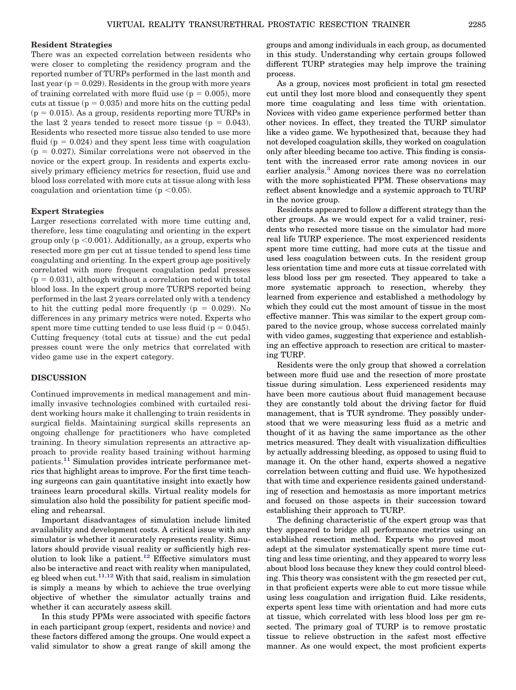#### **Resident Strategies**

There was an expected correlation between residents who were closer to completing the residency program and the reported number of TURPs performed in the last month and  $last$  year ( $p = 0.029$ ). Residents in the group with more years of training correlated with more fluid use  $(p = 0.005)$ , more cuts at tissue  $(p = 0.035)$  and more hits on the cutting pedal  $(p = 0.015)$ . As a group, residents reporting more TURPs in the last 2 years tended to resect more tissue  $(p = 0.043)$ . Residents who resected more tissue also tended to use more fluid  $(p = 0.024)$  and they spent less time with coagulation  $(p = 0.027)$ . Similar correlations were not observed in the novice or the expert group. In residents and experts exclusively primary efficiency metrics for resection, fluid use and blood loss correlated with more cuts at tissue along with less coagulation and orientation time ( $p < 0.05$ ).

### **Expert Strategies**

Larger resections correlated with more time cutting and, therefore, less time coagulating and orienting in the expert group only  $(p \le 0.001)$ . Additionally, as a group, experts who resected more gm per cut at tissue tended to spend less time coagulating and orienting. In the expert group age positively correlated with more frequent coagulation pedal presses  $(p = 0.031)$ , although without a correlation noted with total blood loss. In the expert group more TURPS reported being performed in the last 2 years correlated only with a tendency to hit the cutting pedal more frequently  $(p = 0.029)$ . No differences in any primary metrics were noted. Experts who spent more time cutting tended to use less fluid ( $p = 0.045$ ). Cutting frequency (total cuts at tissue) and the cut pedal presses count were the only metrics that correlated with video game use in the expert category.

## **DISCUSSION**

Continued improvements in medical management and minimally invasive technologies combined with curtailed resident working hours make it challenging to train residents in surgical fields. Maintaining surgical skills represents an ongoing challenge for practitioners who have completed training. In theory simulation represents an attractive approach to provide reality based training without harming patients[.11](#page-3-0) Simulation provides intricate performance metrics that highlight areas to improve. For the first time teaching surgeons can gain quantitative insight into exactly how trainees learn procedural skills. Virtual reality models for simulation also hold the possibility for patient specific modeling and rehearsal.

Important disadvantages of simulation include limited availability and development costs. A critical issue with any simulator is whether it accurately represents reality. Simulators should provide visual reality or sufficiently high resolution to look like a patient.<sup>12</sup> Effective simulators must also be interactive and react with reality when manipulated, eg bleed when  $cut.$ <sup>11,12</sup> With that said, realism in simulation is simply a means by which to achieve the true overlying objective of whether the simulator actually trains and whether it can accurately assess skill.

In this study PPMs were associated with specific factors in each participant group (expert, residents and novice) and these factors differed among the groups. One would expect a valid simulator to show a great range of skill among the groups and among individuals in each group, as documented in this study. Understanding why certain groups followed different TURP strategies may help improve the training process.

As a group, novices most proficient in total gm resected cut until they lost more blood and consequently they spent more time coagulating and less time with orientation. Novices with video game experience performed better than other novices. In effect, they treated the TURP simulator like a video game. We hypothesized that, because they had not developed coagulation skills, they worked on coagulation only after bleeding became too active. This finding is consistent with the increased error rate among novices in our earlier analysis.<sup>3</sup> Among novices there was no correlation with the more sophisticated PPM. These observations may reflect absent knowledge and a systemic approach to TURP in the novice group.

Residents appeared to follow a different strategy than the other groups. As we would expect for a valid trainer, residents who resected more tissue on the simulator had more real life TURP experience. The most experienced residents spent more time cutting, had more cuts at the tissue and used less coagulation between cuts. In the resident group less orientation time and more cuts at tissue correlated with less blood loss per gm resected. They appeared to take a more systematic approach to resection, whereby they learned from experience and established a methodology by which they could cut the most amount of tissue in the most effective manner. This was similar to the expert group compared to the novice group, whose success correlated mainly with video games, suggesting that experience and establishing an effective approach to resection are critical to mastering TURP.

Residents were the only group that showed a correlation between more fluid use and the resection of more prostate tissue during simulation. Less experienced residents may have been more cautious about fluid management because they are constantly told about the driving factor for fluid management, that is TUR syndrome. They possibly understood that we were measuring less fluid as a metric and thought of it as having the same importance as the other metrics measured. They dealt with visualization difficulties by actually addressing bleeding, as opposed to using fluid to manage it. On the other hand, experts showed a negative correlation between cutting and fluid use. We hypothesized that with time and experience residents gained understanding of resection and hemostasis as more important metrics and focused on those aspects in their succession toward establishing their approach to TURP.

The defining characteristic of the expert group was that they appeared to bridge all performance metrics using an established resection method. Experts who proved most adept at the simulator systematically spent more time cutting and less time orienting, and they appeared to worry less about blood loss because they knew they could control bleeding. This theory was consistent with the gm resected per cut, in that proficient experts were able to cut more tissue while using less coagulation and irrigation fluid. Like residents, experts spent less time with orientation and had more cuts at tissue, which correlated with less blood loss per gm resected. The primary goal of TURP is to remove prostatic tissue to relieve obstruction in the safest most effective manner. As one would expect, the most proficient experts